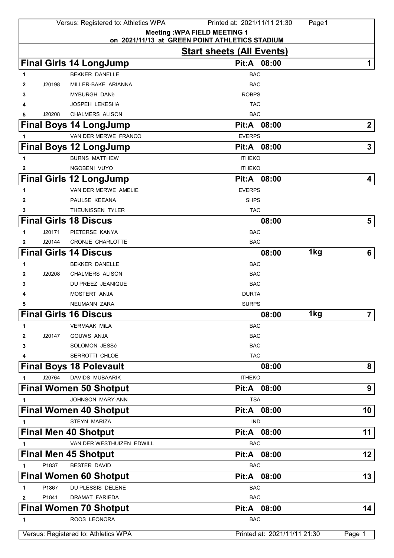|              |        | Versus: Registered to: Athletics WPA       | Printed at: 2021/11/11 21:30                                                       | Page 1          |                         |
|--------------|--------|--------------------------------------------|------------------------------------------------------------------------------------|-----------------|-------------------------|
|              |        |                                            | <b>Meeting: WPA FIELD MEETING 1</b>                                                |                 |                         |
|              |        |                                            | on 2021/11/13 at GREEN POINT ATHLETICS STADIUM<br><b>Start sheets (All Events)</b> |                 |                         |
|              |        |                                            | Pit:A 08:00                                                                        |                 |                         |
|              |        | <b>Final Girls 14 LongJump</b>             |                                                                                    |                 | 1                       |
| 1            |        | <b>BEKKER DANELLE</b>                      | BAC                                                                                |                 |                         |
| 2            | J20198 | MILLER-BAKE ARIANNA<br><b>MYBURGH DANè</b> | <b>BAC</b><br><b>ROBPS</b>                                                         |                 |                         |
| 3            |        | <b>JOSPEH LEKESHA</b>                      | <b>TAC</b>                                                                         |                 |                         |
| 5            | J20208 | <b>CHALMERS ALISON</b>                     | <b>BAC</b>                                                                         |                 |                         |
|              |        | <b>Final Boys 14 LongJump</b>              | Pit:A 08:00                                                                        |                 | $\overline{\mathbf{2}}$ |
|              |        | VAN DER MERWE FRANCO                       | <b>EVERPS</b>                                                                      |                 |                         |
| 1            |        |                                            | Pit:A 08:00                                                                        |                 | 3                       |
|              |        | <b>Final Boys 12 LongJump</b>              |                                                                                    |                 |                         |
| 1            |        | <b>BURNS MATTHEW</b>                       | <b>ITHEKO</b>                                                                      |                 |                         |
| 2            |        | NGOBENI VUYO                               | <b>ITHEKO</b>                                                                      |                 |                         |
|              |        | <b>Final Girls 12 LongJump</b>             | Pit:A<br>08:00                                                                     |                 | 4                       |
| 1            |        | VAN DER MERWE AMELIE                       | <b>EVERPS</b>                                                                      |                 |                         |
| 2            |        | PAULSE KEEANA                              | <b>SHPS</b>                                                                        |                 |                         |
| 3            |        | THEUNISSEN TYLER                           | <b>TAC</b>                                                                         |                 |                         |
|              |        | <b>Final Girls 18 Discus</b>               | 08:00                                                                              |                 | 5                       |
| 1            | J20171 | PIETERSE KANYA                             | <b>BAC</b>                                                                         |                 |                         |
| 2            | J20144 | CRONJE CHARLOTTE                           | <b>BAC</b>                                                                         |                 |                         |
|              |        | <b>Final Girls 14 Discus</b>               | 08:00                                                                              | 1kg             | 6                       |
| 1            |        | <b>BEKKER DANELLE</b>                      | <b>BAC</b>                                                                         |                 |                         |
| 2            | J20208 | <b>CHALMERS ALISON</b>                     | BAC                                                                                |                 |                         |
| 3            |        | DU PREEZ JEANIQUE                          | BAC                                                                                |                 |                         |
|              |        | MOSTERT ANJA                               | <b>DURTA</b>                                                                       |                 |                         |
| 5            |        | NEUMANN ZARA                               | <b>SURPS</b>                                                                       |                 |                         |
|              |        | <b>Final Girls 16 Discus</b>               | 08:00                                                                              | 1 <sub>kg</sub> | 7 <sup>1</sup>          |
| 1            |        | <b>VERMAAK MILA</b>                        | <b>BAC</b>                                                                         |                 |                         |
| 2            | J20147 | <b>GOUWS ANJA</b>                          | <b>BAC</b>                                                                         |                 |                         |
| 3            |        | <b>SOLOMON JESSé</b>                       | <b>BAC</b>                                                                         |                 |                         |
| 4            |        | SERROTTI CHLOE                             | <b>TAC</b>                                                                         |                 |                         |
|              |        | <b>Final Boys 18 Polevault</b>             | 08:00                                                                              |                 | 8                       |
| 1            | J20764 | DAVIDS MUBAARIK                            | <b>ITHEKO</b>                                                                      |                 |                         |
|              |        | <b>Final Women 50 Shotput</b>              | Pit:A 08:00                                                                        |                 | 9                       |
| $\mathbf{1}$ |        | JOHNSON MARY-ANN                           | <b>TSA</b>                                                                         |                 |                         |
|              |        | <b>Final Women 40 Shotput</b>              | Pit:A 08:00                                                                        |                 | 10                      |
| 1            |        | <b>STEYN MARIZA</b>                        | <b>IND</b>                                                                         |                 |                         |
|              |        | <b>Final Men 40 Shotput</b>                | Pit:A 08:00                                                                        |                 | 11                      |
| 1            |        | VAN DER WESTHUIZEN EDWILL                  | <b>BAC</b>                                                                         |                 |                         |
|              |        | <b>Final Men 45 Shotput</b>                | Pit:A 08:00                                                                        |                 | 12                      |
| 1            | P1837  | <b>BESTER DAVID</b>                        | <b>BAC</b>                                                                         |                 |                         |
|              |        | <b>Final Women 60 Shotput</b>              | Pit:A 08:00                                                                        |                 | 13                      |
| 1            | P1867  | DU PLESSIS DELENE                          | <b>BAC</b>                                                                         |                 |                         |
| 2            | P1841  | DRAMAT FARIEDA                             | <b>BAC</b>                                                                         |                 |                         |
|              |        | <b>Final Women 70 Shotput</b>              | Pit:A 08:00                                                                        |                 | 14                      |
| 1            |        | ROOS LEONORA                               | <b>BAC</b>                                                                         |                 |                         |
|              |        | Versus: Registered to: Athletics WPA       | Printed at: 2021/11/11 21:30                                                       |                 | Page 1                  |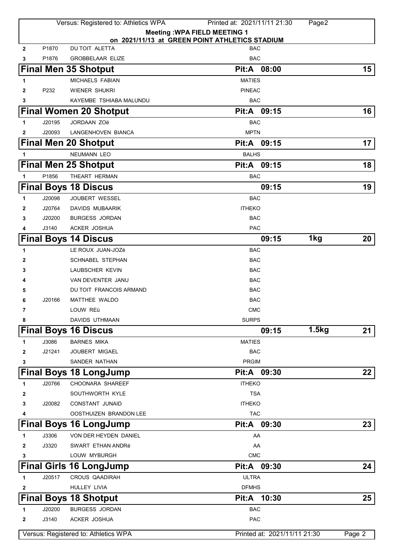|              |        | Versus: Registered to: Athletics WPA           | Printed at: 2021/11/11 21:30 | Page2 |        |
|--------------|--------|------------------------------------------------|------------------------------|-------|--------|
|              |        | <b>Meeting: WPA FIELD MEETING 1</b>            |                              |       |        |
|              |        | on 2021/11/13 at GREEN POINT ATHLETICS STADIUM |                              |       |        |
| $\mathbf{2}$ | P1870  | DU TOIT ALETTA                                 | <b>BAC</b>                   |       |        |
| 3            | P1876  | <b>GROBBELAAR ELIZE</b>                        | <b>BAC</b>                   |       |        |
|              |        | <b>Final Men 35 Shotput</b>                    | 08:00<br>Pit:A               |       | $15\,$ |
| 1            |        | MICHAELS FABIAN                                | <b>MATIES</b>                |       |        |
| $\mathbf{2}$ | P232   | <b>WIENER SHUKRI</b>                           | <b>PINEAC</b>                |       |        |
| 3            |        | KAYEMBE TSHIABA MALUNDU                        | <b>BAC</b>                   |       |        |
|              |        | <b>Final Women 20 Shotput</b>                  | Pit:A 09:15                  |       | 16     |
| 1            | J20195 | <b>JORDAAN ZOë</b>                             | <b>BAC</b>                   |       |        |
| 2            | J20093 | LANGENHOVEN BIANCA                             | <b>MPTN</b>                  |       |        |
|              |        | <b>Final Men 20 Shotput</b>                    | Pit:A 09:15                  |       | 17     |
| 1            |        | <b>NEUMANN LEO</b>                             | <b>BALHS</b>                 |       |        |
|              |        | <b>Final Men 25 Shotput</b>                    | Pit:A<br>09:15               |       | 18     |
| 1            | P1856  | THEART HERMAN                                  | <b>BAC</b>                   |       |        |
|              |        | <b>Final Boys 18 Discus</b>                    | 09:15                        |       | 19     |
| 1            | J20098 | JOUBERT WESSEL                                 | <b>BAC</b>                   |       |        |
| 2            | J20764 | DAVIDS MUBAARIK                                | <b>ITHEKO</b>                |       |        |
| 3            | J20200 | <b>BURGESS JORDAN</b>                          | <b>BAC</b>                   |       |        |
| 4            | J3140  | ACKER JOSHUA                                   | <b>PAC</b>                   |       |        |
|              |        | <b>Final Boys 14 Discus</b>                    | 09:15                        | 1kg   | 20     |
| 1            |        | LE ROUX JUAN-JOZé                              | <b>BAC</b>                   |       |        |
| 2            |        | <b>SCHNABEL STEPHAN</b>                        | <b>BAC</b>                   |       |        |
| 3            |        | LAUBSCHER KEVIN                                | <b>BAC</b>                   |       |        |
| 4            |        | VAN DEVENTER JANU                              | <b>BAC</b>                   |       |        |
| 5            |        | DU TOIT FRANCOIS ARMAND                        | <b>BAC</b>                   |       |        |
| 6            | J20166 | MATTHEE WALDO                                  | <b>BAC</b>                   |       |        |
| 7            |        | LOUW REü                                       | <b>CMC</b>                   |       |        |
| 8            |        | DAVIDS UTHMAAN                                 | <b>SURPS</b>                 |       |        |
|              |        | <b>Final Boys 16 Discus</b>                    | 09:15                        | 1.5kg | 21     |
| 1            | J3086  | <b>BARNES MIKA</b>                             | <b>MATIES</b>                |       |        |
| 2            | J21241 | JOUBERT MIGAEL                                 | <b>BAC</b>                   |       |        |
| 3            |        | SANDER NATHAN                                  | <b>PRGIM</b>                 |       |        |
|              |        |                                                | Pit:A 09:30                  |       | 22     |
|              |        | <b>Final Boys 18 LongJump</b>                  |                              |       |        |
| 1            | J20766 | CHOONARA SHAREEF                               | <b>ITHEKO</b>                |       |        |
| 2            |        | SOUTHWORTH KYLE                                | <b>TSA</b>                   |       |        |
| 3            | J20082 | <b>CONSTANT JUNAID</b>                         | <b>ITHEKO</b><br><b>TAC</b>  |       |        |
| 4            |        | OOSTHUIZEN BRANDON LEE                         |                              |       |        |
|              |        | <b>Final Boys 16 LongJump</b>                  | Pit:A 09:30                  |       | 23     |
| 1            | J3306  | VON DER HEYDEN DANIEL                          | AA                           |       |        |
| 2            | J3320  | SWART ETHAN ANDRé                              | AA                           |       |        |
| 3            |        | LOUW MYBURGH                                   | CMC                          |       |        |
|              |        | <b>Final Girls 16 LongJump</b>                 | Pit:A 09:30                  |       | 24     |
| 1            | J20517 | <b>CROUS QAADIRAH</b>                          | <b>ULTRA</b>                 |       |        |
| 2            |        | HULLEY LIVIA                                   | <b>DFMHS</b>                 |       |        |
|              |        | <b>Final Boys 18 Shotput</b>                   | Pit:A 10:30                  |       | 25     |
| 1            | J20200 | <b>BURGESS JORDAN</b>                          | <b>BAC</b>                   |       |        |
| 2            | J3140  | ACKER JOSHUA                                   | <b>PAC</b>                   |       |        |
|              |        | Versus: Registered to: Athletics WPA           | Printed at: 2021/11/11 21:30 |       | Page 2 |
|              |        |                                                |                              |       |        |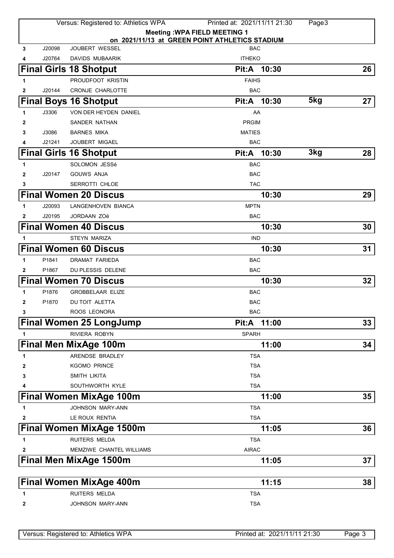|              |        | Versus: Registered to: Athletics WPA | Printed at: 2021/11/11 21:30                                 | Page3 |    |
|--------------|--------|--------------------------------------|--------------------------------------------------------------|-------|----|
|              |        |                                      | <b>Meeting: WPA FIELD MEETING 1</b>                          |       |    |
| 3            | J20098 | JOUBERT WESSEL                       | on 2021/11/13 at GREEN POINT ATHLETICS STADIUM<br><b>BAC</b> |       |    |
| 4            | J20764 | <b>DAVIDS MUBAARIK</b>               | <b>ITHEKO</b>                                                |       |    |
|              |        | <b>Final Girls 18 Shotput</b>        | Pit:A 10:30                                                  |       | 26 |
| 1            |        | PROUDFOOT KRISTIN                    | <b>FAIHS</b>                                                 |       |    |
| $\mathbf{2}$ | J20144 | <b>CRONJE CHARLOTTE</b>              | <b>BAC</b>                                                   |       |    |
|              |        | <b>Final Boys 16 Shotput</b>         | Pit:A 10:30                                                  | 5kg   | 27 |
| 1            | J3306  | VON DER HEYDEN DANIEL                | AA                                                           |       |    |
| 2            |        | SANDER NATHAN                        | <b>PRGIM</b>                                                 |       |    |
| 3            | J3086  | <b>BARNES MIKA</b>                   | <b>MATIES</b>                                                |       |    |
| 4            | J21241 | <b>JOUBERT MIGAEL</b>                | <b>BAC</b>                                                   |       |    |
|              |        | <b>Final Girls 16 Shotput</b>        | Pit:A 10:30                                                  | 3kg   | 28 |
| 1            |        | SOLOMON JESSé                        | <b>BAC</b>                                                   |       |    |
| 2            | J20147 | <b>GOUWS ANJA</b>                    | <b>BAC</b>                                                   |       |    |
| 3            |        | SERROTTI CHLOE                       | <b>TAC</b>                                                   |       |    |
|              |        | <b>Final Women 20 Discus</b>         | 10:30                                                        |       | 29 |
| 1            | J20093 | LANGENHOVEN BIANCA                   | <b>MPTN</b>                                                  |       |    |
| 2            | J20195 | <b>JORDAAN ZOë</b>                   | <b>BAC</b>                                                   |       |    |
|              |        | <b>Final Women 40 Discus</b>         | 10:30                                                        |       | 30 |
| 1            |        | <b>STEYN MARIZA</b>                  | <b>IND</b>                                                   |       |    |
|              |        | <b>Final Women 60 Discus</b>         | 10:30                                                        |       | 31 |
| 1            | P1841  | DRAMAT FARIEDA                       | <b>BAC</b>                                                   |       |    |
| 2            | P1867  | DU PLESSIS DELENE                    | BAC                                                          |       |    |
|              |        | <b>Final Women 70 Discus</b>         | 10:30                                                        |       | 32 |
| 1            | P1876  | <b>GROBBELAAR ELIZE</b>              | <b>BAC</b>                                                   |       |    |
| 2            | P1870  | DU TOIT ALETTA                       | <b>BAC</b>                                                   |       |    |
| 3            |        | ROOS LEONORA                         | <b>BAC</b>                                                   |       |    |
|              |        | <b>Final Women 25 LongJump</b>       | Pit:A 11:00                                                  |       | 33 |
| 1            |        | <b>RIVIERA ROBYN</b>                 | <b>SPARH</b>                                                 |       |    |
|              |        | <b>Final Men MixAge 100m</b>         | 11:00                                                        |       | 34 |
| 1            |        | ARENDSE BRADLEY                      | <b>TSA</b>                                                   |       |    |
| 2            |        | <b>KGOMO PRINCE</b>                  | <b>TSA</b>                                                   |       |    |
| 3            |        | <b>SMITH LIKITA</b>                  | <b>TSA</b>                                                   |       |    |
|              |        | SOUTHWORTH KYLE                      | <b>TSA</b>                                                   |       |    |
|              |        | <b>Final Women MixAge 100m</b>       | 11:00                                                        |       | 35 |
| 1            |        | JOHNSON MARY-ANN                     | <b>TSA</b>                                                   |       |    |
| 2            |        | LE ROUX RENTIA                       | <b>TSA</b>                                                   |       |    |
|              |        | <b>Final Women MixAge 1500m</b>      | 11:05                                                        |       | 36 |
| 1            |        | <b>RUITERS MELDA</b>                 | <b>TSA</b>                                                   |       |    |
| 2            |        | MEMZIWE CHANTEL WILLIAMS             | <b>AIRAC</b>                                                 |       |    |
|              |        | <b>Final Men MixAge 1500m</b>        | 11:05                                                        |       | 37 |
|              |        |                                      |                                                              |       |    |
|              |        | <b>Final Women MixAge 400m</b>       | 11:15                                                        |       | 38 |
| 1            |        | <b>RUITERS MELDA</b>                 | <b>TSA</b>                                                   |       |    |
| 2            |        | JOHNSON MARY-ANN                     | <b>TSA</b>                                                   |       |    |
|              |        |                                      |                                                              |       |    |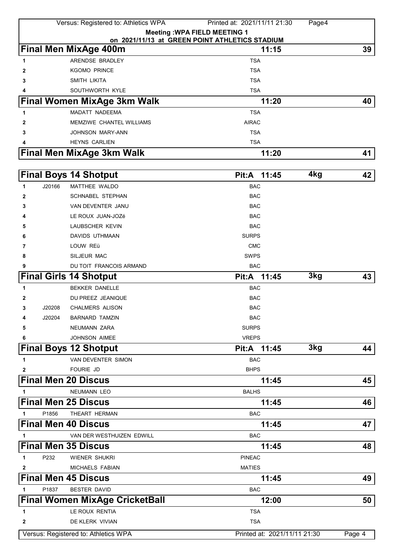|                     | Versus: Registered to: Athletics WPA  | Printed at: 2021/11/11 21:30                   | Page4 |        |
|---------------------|---------------------------------------|------------------------------------------------|-------|--------|
|                     |                                       | <b>Meeting: WPA FIELD MEETING 1</b>            |       |        |
|                     |                                       | on 2021/11/13 at GREEN POINT ATHLETICS STADIUM |       |        |
|                     | <b>Final Men MixAge 400m</b>          | 11:15                                          |       | 39     |
| 1                   | ARENDSE BRADLEY                       | <b>TSA</b>                                     |       |        |
| 2                   | <b>KGOMO PRINCE</b>                   | <b>TSA</b>                                     |       |        |
| 3                   | SMITH LIKITA                          | <b>TSA</b>                                     |       |        |
|                     | SOUTHWORTH KYLE                       | <b>TSA</b>                                     |       |        |
|                     | <b>Final Women MixAge 3km Walk</b>    | 11:20                                          |       | 40     |
| 1                   | MADATT NADEEMA                        | <b>TSA</b>                                     |       |        |
| 2                   | <b>MEMZIWE CHANTEL WILLIAMS</b>       | <b>AIRAC</b>                                   |       |        |
| 3                   | JOHNSON MARY-ANN                      | <b>TSA</b>                                     |       |        |
|                     | <b>HEYNS CARLIEN</b>                  | <b>TSA</b>                                     |       |        |
|                     | Final Men MixAge 3km Walk             | 11:20                                          |       | 41     |
|                     | <b>Final Boys 14 Shotput</b>          | 11:45<br>Pit:A                                 | 4kg   | 42     |
|                     |                                       |                                                |       |        |
| J20166<br>1         | MATTHEE WALDO                         | <b>BAC</b>                                     |       |        |
| 2                   | <b>SCHNABEL STEPHAN</b>               | <b>BAC</b>                                     |       |        |
| 3                   | VAN DEVENTER JANU                     | <b>BAC</b>                                     |       |        |
|                     | LE ROUX JUAN-JOZé                     | <b>BAC</b>                                     |       |        |
| 5                   | LAUBSCHER KEVIN                       | <b>BAC</b>                                     |       |        |
| 6                   | DAVIDS UTHMAAN                        | <b>SURPS</b>                                   |       |        |
| 7                   | LOUW REü                              | <b>CMC</b>                                     |       |        |
| 8                   | SILJEUR MAC                           | <b>SWPS</b>                                    |       |        |
| 9                   | DU TOIT FRANCOIS ARMAND               | <b>BAC</b>                                     |       |        |
|                     | <b>Final Girls 14 Shotput</b>         | 11:45<br>Pit:A                                 | 3kg   | 43     |
| 1                   | <b>BEKKER DANELLE</b>                 | <b>BAC</b>                                     |       |        |
| 2                   | DU PREEZ JEANIQUE                     | <b>BAC</b>                                     |       |        |
| J20208<br>3         | <b>CHALMERS ALISON</b>                | <b>BAC</b>                                     |       |        |
| J20204<br>4         | <b>BARNARD TAMZIN</b>                 | <b>BAC</b>                                     |       |        |
| 5                   | NEUMANN ZARA                          | <b>SURPS</b>                                   |       |        |
| 6                   | <b>JOHNSON AIMEE</b>                  | <b>VREPS</b>                                   |       |        |
|                     | <b>Final Boys 12 Shotput</b>          | Pit:A 11:45                                    | 3kg   | 44     |
| $\mathbf{1}$        | VAN DEVENTER SIMON                    | <b>BAC</b>                                     |       |        |
| 2                   | FOURIE JD                             | <b>BHPS</b>                                    |       |        |
|                     | <b>Final Men 20 Discus</b>            | 11:45                                          |       | 45     |
| 1                   | NEUMANN LEO                           | <b>BALHS</b>                                   |       |        |
|                     | <b>Final Men 25 Discus</b>            | 11:45                                          |       | 46     |
| P1856<br>1          | THEART HERMAN                         | BAC                                            |       |        |
|                     | <b>Final Men 40 Discus</b>            | 11:45                                          |       | 47     |
| 1                   | VAN DER WESTHUIZEN EDWILL             | <b>BAC</b>                                     |       |        |
|                     | <b>Final Men 35 Discus</b>            | 11:45                                          |       | 48     |
| P232<br>$\mathbf 1$ | <b>WIENER SHUKRI</b>                  | <b>PINEAC</b>                                  |       |        |
| $\mathbf{2}$        | MICHAELS FABIAN                       | <b>MATIES</b>                                  |       |        |
|                     | <b>Final Men 45 Discus</b>            | 11:45                                          |       | 49     |
| P1837<br>1          | <b>BESTER DAVID</b>                   | <b>BAC</b>                                     |       |        |
|                     | <b>Final Women MixAge CricketBall</b> | 12:00                                          |       | 50     |
| 1                   | LE ROUX RENTIA                        | <b>TSA</b>                                     |       |        |
| $\mathbf{2}$        | DE KLERK VIVIAN                       | <b>TSA</b>                                     |       |        |
|                     | Versus: Registered to: Athletics WPA  | Printed at: 2021/11/11 21:30                   |       | Page 4 |